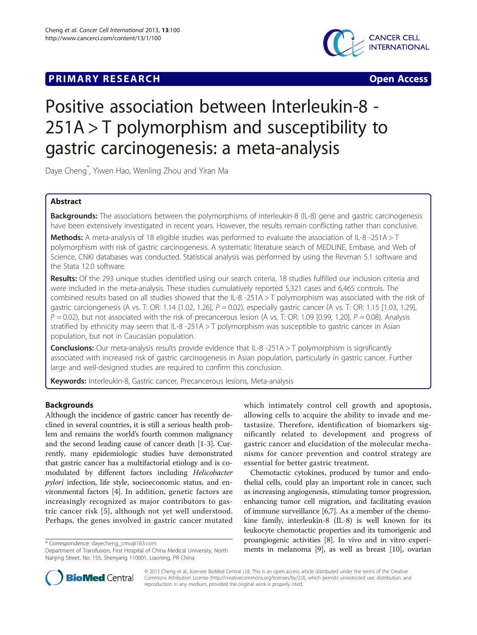## **PRIMARY RESEARCH CONSTRUCTION CONSTRUCTS**



# Positive association between Interleukin-8 - 251A > T polymorphism and susceptibility to gastric carcinogenesis: a meta-analysis

Daye Cheng\* , Yiwen Hao, Wenling Zhou and Yiran Ma

## Abstract

Backgrounds: The associations between the polymorphisms of interleukin-8 (IL-8) gene and gastric carcinogenesis have been extensively investigated in recent years. However, the results remain conflicting rather than conclusive.

Methods: A meta-analysis of 18 eligible studies was performed to evaluate the association of IL-8 -251A > T polymorphism with risk of gastric carcinogenesis. A systematic literature search of MEDLINE, Embase, and Web of Science, CNKI databases was conducted. Statistical analysis was performed by using the Revman 5.1 software and the Stata 12.0 software.

Results: Of the 293 unique studies identified using our search criteria, 18 studies fulfilled our inclusion criteria and were included in the meta-analysis. These studies cumulatively reported 5,321 cases and 6,465 controls. The combined results based on all studies showed that the IL-8 -251A > T polymorphism was associated with the risk of gastric carciongenesis (A vs. T: OR: 1.14 [1.02, 1.26],  $P = 0.02$ ), especially gastric cancer (A vs. T: OR: 1.15 [1.03, 1.29],  $P = 0.02$ ), but not associated with the risk of precancerous lesion (A vs. T; OR: 1.09 [0.99, 1.20],  $P = 0.08$ ). Analysis stratified by ethnicity may seem that IL-8 -251A > T polymorphism was susceptible to gastric cancer in Asian population, but not in Caucasian population.

**Conclusions:** Our meta-analysis results provide evidence that IL-8 -251A  $>$  T polymorphism is significantly associated with increased risk of gastric carcinogenesis in Asian population, particularly in gastric cancer. Further large and well-designed studies are required to confirm this conclusion.

Keywords: Interleukin-8, Gastric cancer, Precancerous lesions, Meta-analysis

## **Backgrounds**

Although the incidence of gastric cancer has recently declined in several countries, it is still a serious health problem and remains the world's fourth common malignancy and the second leading cause of cancer death [\[1-3](#page-7-0)]. Currently, many epidemiologic studies have demonstrated that gastric cancer has a multifactorial etiology and is comodulated by different factors including Helicobacter pylori infection, life style, socioeconomic status, and environmental factors [[4\]](#page-7-0). In addition, genetic factors are increasingly recognized as major contributors to gastric cancer risk [\[5](#page-7-0)], although not yet well understood. Perhaps, the genes involved in gastric cancer mutated

Department of Transfusion, First Hospital of China Medical University, North Nanjing Street, No. 155, Shenyang 110001, Liaoning, PR China

which intimately control cell growth and apoptosis, allowing cells to acquire the ability to invade and metastasize. Therefore, identification of biomarkers significantly related to development and progress of gastric cancer and elucidation of the molecular mechanisms for cancer prevention and control strategy are essential for better gastric treatment.

Chemotactic cytokines, produced by tumor and endothelial cells, could play an important role in cancer, such as increasing angiogenesis, stimulating tumor progression, enhancing tumor cell migration, and facilitating evasion of immune surveillance [\[6,7\]](#page-7-0). As a member of the chemokine family, interleukin-8 (IL-8) is well known for its leukocyte chemotactic properties and its tumorigenic and proangiogenic activities [[8\]](#page-7-0). In vivo and in vitro experiments in melanoma activities [0]. In vivo and in vitio experi-<br>Department of Transfusion, First Hospital of China Medical University, North **ments in melanoma** [\[9](#page-7-0)], as well as breast [[10](#page-7-0)], ovarian



© 2013 Cheng et al.; licensee BioMed Central Ltd. This is an open access article distributed under the terms of the Creative Commons Attribution License [\(http://creativecommons.org/licenses/by/2.0\)](http://creativecommons.org/licenses/by/2.0), which permits unrestricted use, distribution, and reproduction in any medium, provided the original work is properly cited.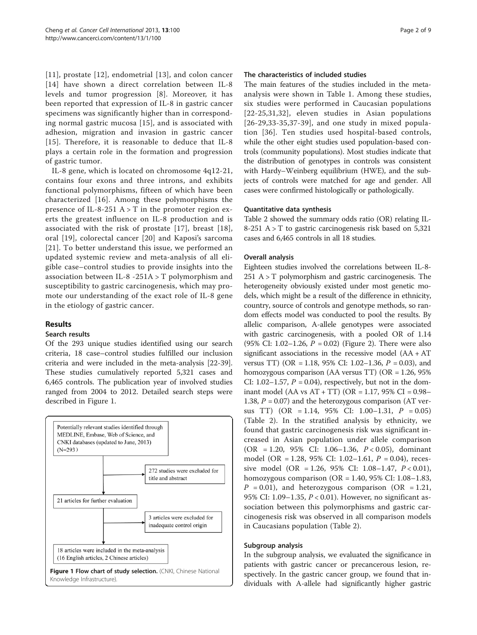[[11](#page-7-0)], prostate [[12\]](#page-7-0), endometrial [[13\]](#page-7-0), and colon cancer [[14](#page-7-0)] have shown a direct correlation between IL-8 levels and tumor progression [[8\]](#page-7-0). Moreover, it has been reported that expression of IL-8 in gastric cancer specimens was significantly higher than in corresponding normal gastric mucosa [\[15\]](#page-7-0), and is associated with adhesion, migration and invasion in gastric cancer [[15](#page-7-0)]. Therefore, it is reasonable to deduce that IL-8 plays a certain role in the formation and progression of gastric tumor.

IL-8 gene, which is located on chromosome 4q12-21, contains four exons and three introns, and exhibits functional polymorphisms, fifteen of which have been characterized [[16](#page-7-0)]. Among these polymorphisms the presence of IL-8-251  $A > T$  in the promoter region exerts the greatest influence on IL-8 production and is associated with the risk of prostate [[17\]](#page-7-0), breast [[18](#page-7-0)], oral [\[19\]](#page-7-0), colorectal cancer [[20\]](#page-7-0) and Kaposi's sarcoma [[21](#page-7-0)]. To better understand this issue, we performed an updated systemic review and meta-analysis of all eligible case–control studies to provide insights into the association between IL-8 -251A > T polymorphism and susceptibility to gastric carcinogenesis, which may promote our understanding of the exact role of IL-8 gene in the etiology of gastric cancer.

## Results

## Search results

Of the 293 unique studies identified using our search criteria, 18 case–control studies fulfilled our inclusion criteria and were included in the meta-analysis [\[22](#page-7-0)[-39](#page-8-0)]. These studies cumulatively reported 5,321 cases and 6,465 controls. The publication year of involved studies ranged from 2004 to 2012. Detailed search steps were described in Figure 1.



### The characteristics of included studies

The main features of the studies included in the metaanalysis were shown in Table [1.](#page-2-0) Among these studies, six studies were performed in Caucasian populations [[22](#page-7-0)-[25](#page-8-0),[31,32\]](#page-8-0), eleven studies in Asian populations [[26](#page-8-0)-[29](#page-8-0),[33](#page-8-0)-[35,37-39\]](#page-8-0), and one study in mixed population [[36\]](#page-8-0). Ten studies used hospital-based controls, while the other eight studies used population-based controls (community populations). Most studies indicate that the distribution of genotypes in controls was consistent with Hardy–Weinberg equilibrium (HWE), and the subjects of controls were matched for age and gender. All cases were confirmed histologically or pathologically.

## Quantitative data synthesis

Table [2](#page-3-0) showed the summary odds ratio (OR) relating IL-8-251 A > T to gastric carcinogenesis risk based on 5,321 cases and 6,465 controls in all 18 studies.

## Overall analysis

Eighteen studies involved the correlations between IL-8- 251  $A > T$  polymorphism and gastric carcinogenesis. The heterogeneity obviously existed under most genetic models, which might be a result of the difference in ethnicity, country, source of controls and genotype methods, so random effects model was conducted to pool the results. By allelic comparison, A-allele genotypes were associated with gastric carcinogenesis, with a pooled OR of 1.14 (95% CI: 1.02–1.26,  $P = 0.02$ ) (Figure [2](#page-4-0)). There were also significant associations in the recessive model  $(AA + AT)$ versus TT) (OR = 1.18, 95% CI: 1.02–1.36,  $P = 0.03$ ), and homozygous comparison (AA versus TT) (OR = 1.26, 95% CI: 1.02–1.57,  $P = 0.04$ ), respectively, but not in the dominant model (AA vs AT + TT) (OR = 1.17, 95% CI =  $0.98-$ 1.38,  $P = 0.07$ ) and the heterozygous comparison (AT versus TT)  $(OR = 1.14, 95\% \text{ CI: } 1.00-1.31, P = 0.05)$ (Table [2\)](#page-3-0). In the stratified analysis by ethnicity, we found that gastric carcinogenesis risk was significant increased in Asian population under allele comparison  $(OR = 1.20, 95\% \text{ CI: } 1.06-1.36, P < 0.05)$ , dominant model (OR = 1.28, 95% CI: 1.02–1.61,  $P = 0.04$ ), recessive model (OR = 1.26, 95% CI: 1.08–1.47,  $P < 0.01$ ), homozygous comparison (OR = 1.40, 95% CI: 1.08–1.83,  $P = 0.01$ , and heterozygous comparison (OR = 1.21, 95% CI: 1.09–1.35, P < 0.01). However, no significant association between this polymorphisms and gastric carcinogenesis risk was observed in all comparison models in Caucasians population (Table [2\)](#page-3-0).

#### Subgroup analysis

In the subgroup analysis, we evaluated the significance in patients with gastric cancer or precancerous lesion, respectively. In the gastric cancer group, we found that individuals with A-allele had significantly higher gastric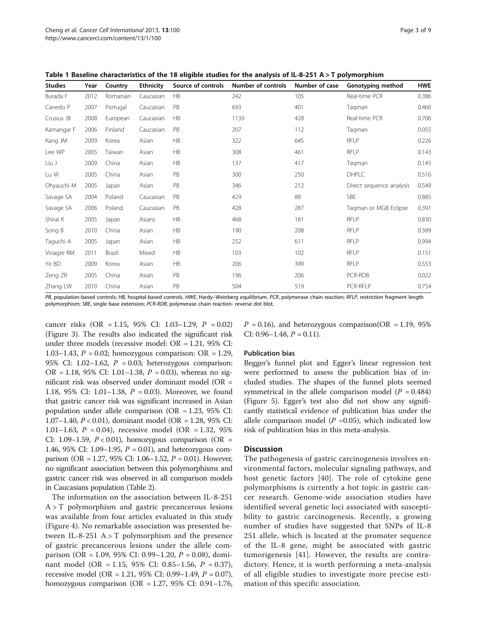| <b>Studies</b> | Year | Country  | <b>Ethnicity</b> | Source of controls | <b>Number of controls</b> | Number of case | Genotyping method        | <b>HWE</b> |
|----------------|------|----------|------------------|--------------------|---------------------------|----------------|--------------------------|------------|
| Burada F       | 2012 | Romanian | Caucasian        | HB                 | 242                       | 105            | Real-time PCR            | 0.386      |
| Canedo P       | 2007 | Portugal | Caucasian        | PB                 | 693                       | 401            | Tagman                   | 0.460      |
| Crusius JB     | 2008 | European | Caucasian        | HB                 | 1139                      | 428            | Real-time PCR            | 0.706      |
| Kamangar F     | 2006 | Finland  | Caucasian        | PB                 | 207                       | 112            | Taqman                   | 0.055      |
| Kang JM        | 2009 | Korea    | Asian            | <b>HB</b>          | 322                       | 645            | <b>RFLP</b>              | 0.226      |
| Lee WP         | 2005 | Taiwan   | Asian            | HB                 | 308                       | 461            | <b>RFLP</b>              | 0.143      |
| Liu J          | 2009 | China    | Asian            | HB                 | 137                       | 417            | Taqman                   | 0.145      |
| Lu W           | 2005 | China    | Asian            | PB                 | 300                       | 250            | <b>DHPLC</b>             | 0.516      |
| Ohyauchi M     | 2005 | Japan    | Asian            | PB                 | 346                       | 212            | Direct sequence analysis | 0.549      |
| Savage SA      | 2004 | Poland   | Caucasian        | PB                 | 429                       | 88             | SBE                      | 0.885      |
| Savage SA      | 2006 | Poland   | Caucasian        | PB                 | 428                       | 287            | Tagman or MGB Eclipse    | 0.391      |
| Shirai K       | 2005 | Japan    | Asians           | <b>HB</b>          | 468                       | 181            | <b>RFLP</b>              | 0.830      |
| Song B         | 2010 | China    | Asian            | <b>HB</b>          | 190                       | 208            | <b>RFLP</b>              | 0.389      |
| Taguchi A      | 2005 | Japan    | Asian            | <b>HB</b>          | 252                       | 611            | RFLP                     | 0.994      |
| Vinagre RM     | 2011 | Brazil   | Mixed            | HB                 | 103                       | 102            | <b>RFLP</b>              | 0.151      |
| Ye BD          | 2009 | Korea    | Asian            | HB                 | 206                       | 399            | <b>RFLP</b>              | 0.553      |
| Zeng ZR        | 2005 | China    | Asian            | PB                 | 196                       | 206            | PCR-RDB                  | 0.022      |
| Zhang LW       | 2010 | China    | Asian            | PB                 | 504                       | 519            | PCR-RFLP                 | 0.754      |

<span id="page-2-0"></span>Table 1 Baseline characteristics of the 18 eligible studies for the analysis of IL-8-251 A > T polymorphism

PB, population-based controls; HB, hospital-based controls. HWE, Hardy-Weinberg equilibrium. PCR, polymerase chain reaction; RFLP, restriction fragment length polymorphism; SBE, single base extension; PCR-RDB, polymerase chain reaction- reverse dot blot.

cancer risks (OR = 1.15, 95% CI: 1.03–1.29, P = 0.02) (Figure [3](#page-5-0)). The results also indicated the significant risk under three models (recessive model: OR = 1.21, 95% CI: 1.03–1.43,  $P = 0.02$ ; homozygous comparison: OR = 1.29, 95% CI: 1.02–1.62,  $P = 0.03$ ; heterozygous comparison: OR = 1.18, 95% CI: 1.01-1.38,  $P = 0.03$ ), whereas no significant risk was observed under dominant model (OR = 1.18, 95% CI: 1.01–1.38, P = 0.03). Moreover, we found that gastric cancer risk was significant increased in Asian population under allele comparison (OR = 1.23, 95% CI: 1.07–1.40, P < 0.01), dominant model (OR = 1.28, 95% CI: 1.01–1.63,  $P = 0.04$ ), recessive model (OR = 1.32, 95%) CI: 1.09-1.59,  $P < 0.01$ ), homozygous comparison (OR = 1.46, 95% CI: 1.09–1.95,  $P = 0.01$ ), and heterozygous comparison (OR = 1.27, 95% CI: 1.06–1.52,  $P = 0.01$ ). However, no significant association between this polymorphisms and gastric cancer risk was observed in all comparison models in Caucasians population (Table [2\)](#page-3-0).

The information on the association between IL-8-251  $A > T$  polymorphism and gastric precancerous lesions was available from four articles evaluated in this study (Figure [4](#page-6-0)). No remarkable association was presented between IL-8-251  $A > T$  polymorphism and the presence of gastric precancerous lesions under the allele comparison (OR = 1.09, 95% CI: 0.99–1.20,  $P = 0.08$ ), dominant model (OR = 1.15, 95% CI: 0.85–1.56,  $P = 0.37$ ), recessive model (OR = 1.21, 95% CI: 0.99–1.49,  $P = 0.07$ ), homozygous comparison (OR = 1.27, 95% CI: 0.91–1.76,  $P = 0.16$ ), and heterozygous comparison(OR = 1.19, 95% CI:  $0.96-1.48$ ,  $P = 0.11$ ).

#### Publication bias

Begger's funnel plot and Egger's linear regression test were performed to assess the publication bias of included studies. The shapes of the funnel plots seemed symmetrical in the allele comparison model ( $P = 0.484$ ) (Figure [5\)](#page-6-0). Egger's test also did not show any significantly statistical evidence of publication bias under the allele comparison model ( $P = 0.05$ ), which indicated low risk of publication bias in this meta-analysis.

## **Discussion**

The pathogenesis of gastric carcinogenesis involves environmental factors, molecular signaling pathways, and host genetic factors [\[40\]](#page-8-0). The role of cytokine gene polymorphisms is currently a hot topic in gastric cancer research. Genome-wide association studies have identified several genetic loci associated with susceptibility to gastric carcinogenesis. Recently, a growing number of studies have suggested that SNPs of IL-8 251 allele, which is located at the promoter sequence of the IL-8 gene, might be associated with gastric tumorigenesis [[41\]](#page-8-0). However, the results are contradictory. Hence, it is worth performing a meta-analysis of all eligible studies to investigate more precise estimation of this specific association.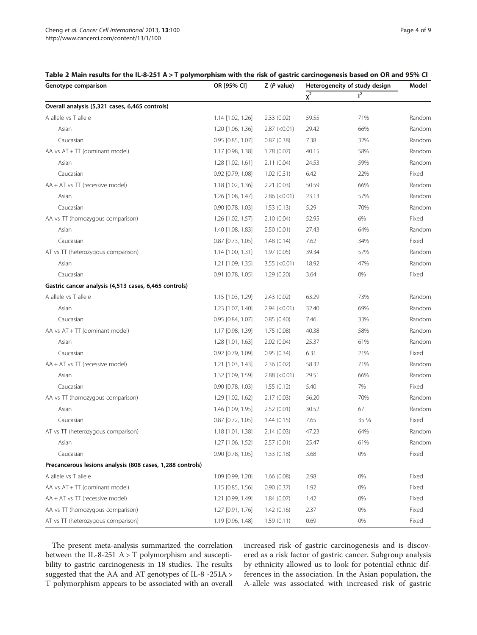<span id="page-3-0"></span>

| Table 2 Main results for the IL-8-251 A > T polymorphism with the risk of gastric carcinogenesis based on OR and 95% CI |  |  |  |
|-------------------------------------------------------------------------------------------------------------------------|--|--|--|
|-------------------------------------------------------------------------------------------------------------------------|--|--|--|

| Genotype comparison                                       | OR [95% CI]           | $Z$ ( $P$ value) | Heterogeneity of study design |                | Model  |
|-----------------------------------------------------------|-----------------------|------------------|-------------------------------|----------------|--------|
|                                                           |                       |                  | $\overline{x^2}$              | 1 <sup>2</sup> |        |
| Overall analysis (5,321 cases, 6,465 controls)            |                       |                  |                               |                |        |
| A allele vs T allele                                      | 1.14 [1.02, 1.26]     | 2.33(0.02)       | 59.55                         | 71%            | Random |
| Asian                                                     | 1.20 [1.06, 1.36]     | $2.87$ (<0.01)   | 29.42                         | 66%            | Random |
| Caucasian                                                 | $0.95$ $[0.85, 1.07]$ | 0.87(0.38)       | 7.38                          | 32%            | Random |
| AA vs $AT + TT$ (dominant model)                          | 1.17 [0.98, 1.38]     | 1.78(0.07)       | 40.15                         | 58%            | Random |
| Asian                                                     | $1.28$ [1.02, 1.61]   | 2.11(0.04)       | 24.53                         | 59%            | Random |
| Caucasian                                                 | $0.92$ $[0.79, 1.08]$ | 1.02(0.31)       | 6.42                          | 22%            | Fixed  |
| $AA + AT$ vs TT (recessive model)                         | $1.18$ [1.02, 1.36]   | 2.21(0.03)       | 50.59                         | 66%            | Random |
| Asian                                                     | 1.26 [1.08, 1.47]     | 2.86 (< 0.01)    | 23.13                         | 57%            | Random |
| Caucasian                                                 | $0.90$ $[0.78, 1.03]$ | 1.53(0.13)       | 5.29                          | 70%            | Random |
| AA vs TT (homozygous comparison)                          | 1.26 [1.02, 1.57]     | 2.10(0.04)       | 52.95                         | 6%             | Fixed  |
| Asian                                                     | 1.40 [1.08, 1.83]     | 2.50(0.01)       | 27.43                         | 64%            | Random |
| Caucasian                                                 | $0.87$ [0.73, 1.05]   | 1.48(0.14)       | 7.62                          | 34%            | Fixed  |
| AT vs TT (heterozygous comparison)                        | $1.14$ [1.00, 1.31]   | 1.97(0.05)       | 39.34                         | 57%            | Random |
| Asian                                                     | 1.21 [1.09, 1.35]     | $3.55$ (<0.01)   | 18.92                         | 47%            | Random |
| Caucasian                                                 | $0.91$ $[0.78, 1.05]$ | 1.29(0.20)       | 3.64                          | 0%             | Fixed  |
| Gastric cancer analysis (4,513 cases, 6,465 controls)     |                       |                  |                               |                |        |
| A allele vs T allele                                      | 1.15 [1.03, 1.29]     | 2.43(0.02)       | 63.29                         | 73%            | Random |
| Asian                                                     | 1.23 [1.07, 1.40]     | 2.94 (< 0.01)    | 32.40                         | 69%            | Random |
| Caucasian                                                 | 0.95 [0.84, 1.07]     | 0.85(0.40)       | 7.46                          | 33%            | Random |
| AA vs AT + TT (dominant model)                            | 1.17 [0.98, 1.39]     | 1.75(0.08)       | 40.38                         | 58%            | Random |
| Asian                                                     | $1.28$ [1.01, 1.63]   | 2.02(0.04)       | 25.37                         | 61%            | Random |
| Caucasian                                                 | $0.92$ $[0.79, 1.09]$ | 0.95(0.34)       | 6.31                          | 21%            | Fixed  |
| $AA + AT$ vs TT (recessive model)                         | $1.21$ [1.03, 1.43]   | 2.36(0.02)       | 58.32                         | 71%            | Random |
| Asian                                                     | 1.32 [1.09, 1.59]     | 2.88 (< 0.01)    | 29.51                         | 66%            | Random |
| Caucasian                                                 | $0.90$ $[0.78, 1.03]$ | 1.55(0.12)       | 5.40                          | 7%             | Fixed  |
| AA vs TT (homozygous comparison)                          | 1.29 [1.02, 1.62]     | 2.17(0.03)       | 56.20                         | 70%            | Random |
| Asian                                                     | 1.46 [1.09, 1.95]     | 2.52(0.01)       | 30.52                         | 67             | Random |
| Caucasian                                                 | $0.87$ [0.72, 1.05]   | 1.44(0.15)       | 7.65                          | 35 %           | Fixed  |
| AT vs TT (heterozygous comparison)                        | $1.18$ [1.01, 1.38]   | 2.14(0.03)       | 47.23                         | 64%            | Random |
| Asian                                                     | 1.27 [1.06, 1.52]     | 2.57(0.01)       | 25.47                         | 61%            | Random |
| Caucasian                                                 | $0.90$ [0.78, 1.05]   | 1.33(0.18)       | 3.68                          | 0%             | Fixed  |
| Precancerous lesions analysis (808 cases, 1,288 controls) |                       |                  |                               |                |        |
| A allele vs T allele                                      | 1.09 [0.99, 1.20]     | 1.66(0.08)       | 2.98                          | 0%             | Fixed  |
| AA vs AT + TT (dominant model)                            | $1.15$ [0.85, 1.56]   | 0.90(0.37)       | 1.92                          | 0%             | Fixed  |
| $AA + AT$ vs TT (recessive model)                         | 1.21 [0.99, 1.49]     | 1.84(0.07)       | 1.42                          | 0%             | Fixed  |
| AA vs TT (homozygous comparison)                          | 1.27 [0.91, 1.76]     | 1.42(0.16)       | 2.37                          | 0%             | Fixed  |
| AT vs TT (heterozygous comparison)                        | 1.19 [0.96, 1.48]     | 1.59(0.11)       | 0.69                          | 0%             | Fixed  |

The present meta-analysis summarized the correlation between the IL-8-251 A > T polymorphism and susceptibility to gastric carcinogenesis in 18 studies. The results suggested that the AA and AT genotypes of IL-8 -251A > T polymorphism appears to be associated with an overall increased risk of gastric carcinogenesis and is discovered as a risk factor of gastric cancer. Subgroup analysis by ethnicity allowed us to look for potential ethnic differences in the association. In the Asian population, the A-allele was associated with increased risk of gastric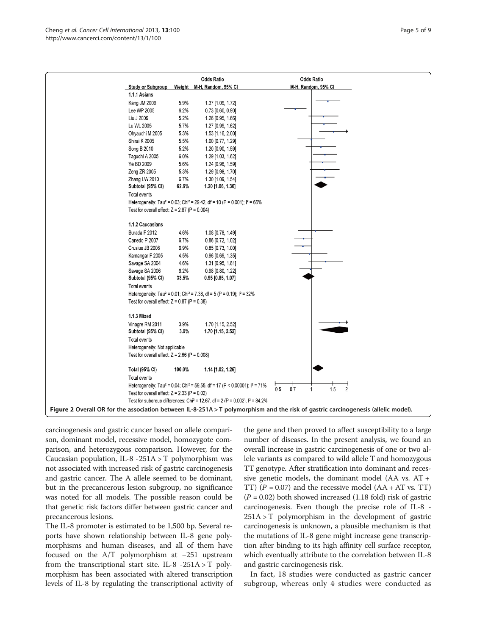<span id="page-4-0"></span>

carcinogenesis and gastric cancer based on allele comparison, dominant model, recessive model, homozygote comparison, and heterozygous comparison. However, for the Caucasian population, IL-8 -251A > T polymorphism was not associated with increased risk of gastric carcinogenesis and gastric cancer. The A allele seemed to be dominant, but in the precancerous lesion subgroup, no significance was noted for all models. The possible reason could be that genetic risk factors differ between gastric cancer and precancerous lesions.

The IL-8 promoter is estimated to be 1,500 bp. Several reports have shown relationship between IL-8 gene polymorphisms and human diseases, and all of them have focused on the A/T polymorphism at −251 upstream from the transcriptional start site. IL-8  $-251A > T$  polymorphism has been associated with altered transcription levels of IL-8 by regulating the transcriptional activity of

the gene and then proved to affect susceptibility to a large number of diseases. In the present analysis, we found an overall increase in gastric carcinogenesis of one or two allele variants as compared to wild allele T and homozygous TT genotype. After stratification into dominant and recessive genetic models, the dominant model (AA vs. AT + TT)  $(P = 0.07)$  and the recessive model  $(AA + AT \text{ vs. TT})$  $(P = 0.02)$  both showed increased (1.18 fold) risk of gastric carcinogenesis. Even though the precise role of IL-8 -  $251A > T$  polymorphism in the development of gastric carcinogenesis is unknown, a plausible mechanism is that the mutations of IL-8 gene might increase gene transcription after binding to its high affinity cell surface receptor, which eventually attribute to the correlation between IL-8 and gastric carcinogenesis risk.

In fact, 18 studies were conducted as gastric cancer subgroup, whereas only 4 studies were conducted as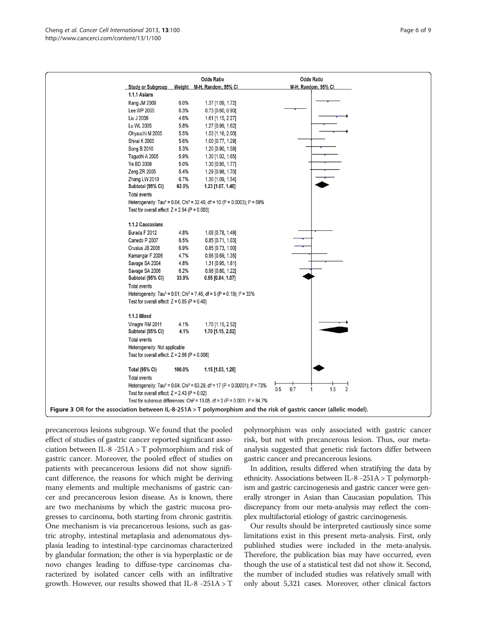<span id="page-5-0"></span>

precancerous lesions subgroup. We found that the pooled effect of studies of gastric cancer reported significant association between IL-8 -251A  $>$  T polymorphism and risk of gastric cancer. Moreover, the pooled effect of studies on patients with precancerous lesions did not show significant difference, the reasons for which might be deriving many elements and multiple mechanisms of gastric cancer and precancerous lesion disease. As is known, there are two mechanisms by which the gastric mucosa progresses to carcinoma, both starting from chronic gastritis. One mechanism is via precancerous lesions, such as gastric atrophy, intestinal metaplasia and adenomatous dysplasia leading to intestinal-type carcinomas characterized by glandular formation; the other is via hyperplastic or de novo changes leading to diffuse-type carcinomas characterized by isolated cancer cells with an infiltrative growth. However, our results showed that IL-8 -251A  $> T$  polymorphism was only associated with gastric cancer risk, but not with precancerous lesion. Thus, our metaanalysis suggested that genetic risk factors differ between gastric cancer and precancerous lesions.

In addition, results differed when stratifying the data by ethnicity. Associations between IL-8 -251A > T polymorphism and gastric carcinogenesis and gastric cancer were generally stronger in Asian than Caucasian population. This discrepancy from our meta-analysis may reflect the complex multifactorial etiology of gastric carcinogenesis.

Our results should be interpreted cautiously since some limitations exist in this present meta-analysis. First, only published studies were included in the meta-analysis. Therefore, the publication bias may have occurred, even though the use of a statistical test did not show it. Second, the number of included studies was relatively small with only about 5,321 cases. Moreover, other clinical factors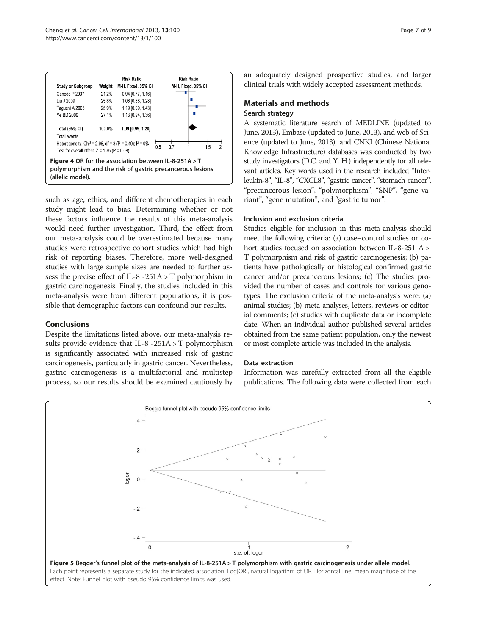<span id="page-6-0"></span>

| <b>Study or Subgroup</b>                                                                                                                                        | Weight | <b>Risk Ratio</b><br>M-H. Fixed. 95% CI | <b>Risk Ratio</b><br>M-H, Fixed, 95% CI |  |  |  |
|-----------------------------------------------------------------------------------------------------------------------------------------------------------------|--------|-----------------------------------------|-----------------------------------------|--|--|--|
| Canedo P 2007                                                                                                                                                   | 21.2%  | 0.94 [0.77, 1.16]                       |                                         |  |  |  |
| Liu J 2009                                                                                                                                                      | 25.8%  | 1.06 [0.88, 1.28]                       |                                         |  |  |  |
| Taguchi A 2005                                                                                                                                                  | 25.9%  | 1.19 [0.99, 1.43]                       |                                         |  |  |  |
| Ye BD 2009                                                                                                                                                      | 27.1%  | 1.13 [0.94, 1.36]                       |                                         |  |  |  |
| <b>Total (95% CI)</b>                                                                                                                                           | 100.0% | 1.09 [0.99, 1.20]                       |                                         |  |  |  |
| Total events                                                                                                                                                    |        |                                         |                                         |  |  |  |
| Heterogeneity: Chi <sup>2</sup> = 2.98, df = 3 (P = 0.40); $I^2 = 0\%$<br>0.5<br>$\overline{2}$<br>0.7<br>1.5<br>Test for overall effect: $Z = 1.75$ (P = 0.08) |        |                                         |                                         |  |  |  |
| <b>Figure 4 OR for the association between IL-8-251A &gt; T</b><br>polymorphism and the risk of gastric precancerous lesions<br>(allelic model).                |        |                                         |                                         |  |  |  |

such as age, ethics, and different chemotherapies in each study might lead to bias. Determining whether or not these factors influence the results of this meta-analysis would need further investigation. Third, the effect from our meta-analysis could be overestimated because many studies were retrospective cohort studies which had high risk of reporting biases. Therefore, more well-designed studies with large sample sizes are needed to further assess the precise effect of IL-8 -251A > T polymorphism in gastric carcinogenesis. Finally, the studies included in this meta-analysis were from different populations, it is possible that demographic factors can confound our results.

## Conclusions

Despite the limitations listed above, our meta-analysis results provide evidence that IL-8 -251A > T polymorphism is significantly associated with increased risk of gastric carcinogenesis, particularly in gastric cancer. Nevertheless, gastric carcinogenesis is a multifactorial and multistep process, so our results should be examined cautiously by an adequately designed prospective studies, and larger clinical trials with widely accepted assessment methods.

## Materials and methods Search strategy

A systematic literature search of MEDLINE (updated to June, 2013), Embase (updated to June, 2013), and web of Science (updated to June, 2013), and CNKI (Chinese National Knowledge Infrastructure) databases was conducted by two study investigators (D.C. and Y. H.) independently for all relevant articles. Key words used in the research included "Interleukin-8", "IL-8", "CXCL8", "gastric cancer", "stomach cancer", "precancerous lesion", "polymorphism", "SNP", "gene variant", "gene mutation", and "gastric tumor".

## Inclusion and exclusion criteria

Studies eligible for inclusion in this meta-analysis should meet the following criteria: (a) case–control studies or cohort studies focused on association between IL-8-251 A > T polymorphism and risk of gastric carcinogenesis; (b) patients have pathologically or histological confirmed gastric cancer and/or precancerous lesions; (c) The studies provided the number of cases and controls for various genotypes. The exclusion criteria of the meta-analysis were: (a) animal studies; (b) meta-analyses, letters, reviews or editorial comments; (c) studies with duplicate data or incomplete date. When an individual author published several articles obtained from the same patient population, only the newest or most complete article was included in the analysis.

#### Data extraction

Information was carefully extracted from all the eligible publications. The following data were collected from each

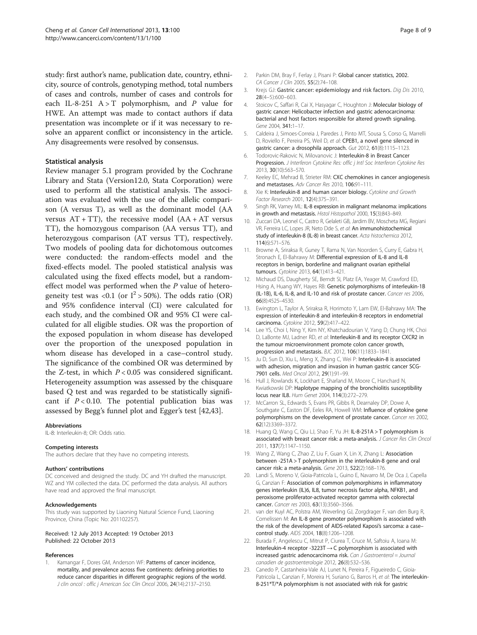<span id="page-7-0"></span>study: first author's name, publication date, country, ethnicity, source of controls, genotyping method, total numbers of cases and controls, number of cases and controls for each IL-8-251  $A > T$  polymorphism, and P value for HWE. An attempt was made to contact authors if data presentation was incomplete or if it was necessary to resolve an apparent conflict or inconsistency in the article. Any disagreements were resolved by consensus.

#### Statistical analysis

Review manager 5.1 program provided by the Cochrane Library and Stata (Version12.0, Stata Corporation) were used to perform all the statistical analysis. The association was evaluated with the use of the allelic comparison (A versus T), as well as the dominant model (AA versus  $AT + TT$ ), the recessive model  $(AA + AT \text{ versus})$ TT), the homozygous comparison (AA versus TT), and heterozygous comparison (AT versus TT), respectively. Two models of pooling data for dichotomous outcomes were conducted: the random-effects model and the fixed-effects model. The pooled statistical analysis was calculated using the fixed effects model, but a randomeffect model was performed when the P value of heterogeneity test was <0.1 (or  $I^2 > 50\%$ ). The odds ratio (OR) and 95% confidence interval (CI) were calculated for each study, and the combined OR and 95% CI were calculated for all eligible studies. OR was the proportion of the exposed population in whom disease has developed over the proportion of the unexposed population in whom disease has developed in a case–control study. The significance of the combined OR was determined by the Z-test, in which  $P < 0.05$  was considered significant. Heterogeneity assumption was assessed by the chisquare based Q test and was regarded to be statistically significant if  $P < 0.10$ . The potential publication bias was assessed by Begg's funnel plot and Egger's test [\[42,43](#page-8-0)].

#### Abbreviations

IL-8: Interleukin-8; OR: Odds ratio.

#### Competing interests

The authors declare that they have no competing interests.

#### Authors' contributions

DC conceived and designed the study. DC and YH drafted the manuscript. WZ and YM collected the data. DC performed the data analysis. All authors have read and approved the final manuscript.

#### Acknowledgements

This study was supported by Liaoning Natural Science Fund, Liaoning Province, China (Topic No: 201102257).

#### Received: 12 July 2013 Accepted: 19 October 2013 Published: 22 October 2013

#### References

Kamangar F, Dores GM, Anderson WF: Patterns of cancer incidence, mortality, and prevalence across five continents: defining priorities to reduce cancer disparities in different geographic regions of the world. J clin oncol : offic j American Soc Clin Oncol 2006, 24(14):2137–2150.

- 2. Parkin DM, Bray F, Ferlay J, Pisani P: Global cancer statistics, 2002. CA Cancer J Clin 2005, 55(2):74–108.
- 3. Krejs GJ: Gastric cancer: epidemiology and risk factors. Dig Dis 2010, 28(4–5):600–603.
- 4. Stoicov C, Saffari R, Cai X, Hasyagar C, Houghton J: Molecular biology of gastric cancer: Helicobacter infection and gastric adenocarcinoma: bacterial and host factors responsible for altered growth signaling. Gene 2004, 341:1–17.
- 5. Caldeira J, Simoes-Correia J, Paredes J, Pinto MT, Sousa S, Corso G, Marrelli D, Roviello F, Pereira PS, Weil D, et al: CPEB1, a novel gene silenced in gastric cancer: a drosophila approach. Gut 2012, 61(8):1115–1123.
- 6. Todorovic-Rakovic N, Milovanovic J: Interleukin-8 in Breast Cancer Progression. J Interferon Cytokine Res: offic j Intl Soc Interferon Cytokine Res 2013, 30(10):563–570.
- 7. Keeley EC, Mehrad B, Strieter RM: CXC chemokines in cancer angiogenesis and metastases. Adv Cancer Res 2010, 106:91–111.
- 8. Xie K: Interleukin-8 and human cancer biology. Cytokine and Growth Factor Research 2001, 12(4):375–391.
- 9. Singh RK, Varney ML: IL-8 expression in malignant melanoma: implications in growth and metastasis. Histol Histopathol 2000, 15(3):843-849.
- 10. Zuccari DA, Leonel C, Castro R, Gelaleti GB, Jardim BV, Moscheta MG, Regiani VR, Ferreira LC, Lopes JR, Neto Dde S, et al: An immunohistochemical study of interleukin-8 (IL-8) in breast cancer. Acta histochemica 2012, 114(6):571–576.
- 11. Browne A, Sriraksa R, Guney T, Rama N, Van Noorden S, Curry E, Gabra H, Stronach E, El-Bahrawy M: Differential expression of IL-8 and IL-8 receptors in benign, borderline and malignant ovarian epithelial tumours. Cytokine 2013, 64(1):413–421.
- 12. Michaud DS, Daugherty SE, Berndt SI, Platz EA, Yeager M, Crawford ED, Hsing A, Huang WY, Hayes RB: Genetic polymorphisms of interleukin-1B (IL-1B), IL-6, IL-8, and IL-10 and risk of prostate cancer. Cancer res 2006, 66(8):4525–4530.
- 13. Ewington L, Taylor A, Sriraksa R, Horimoto Y, Lam EW, El-Bahrawy MA: The expression of interleukin-8 and interleukin-8 receptors in endometrial carcinoma. Cytokine 2012, 59(2):417–422.
- 14. Lee YS, Choi I, Ning Y, Kim NY, Khatchadourian V, Yang D, Chung HK, Choi D, LaBonte MJ, Ladner RD, et al: Interleukin-8 and its receptor CXCR2 in the tumour microenvironment promote colon cancer growth, progression and metastasis. BJC 2012, 106(11):1833–1841.
- 15. Ju D, Sun D, Xiu L, Meng X, Zhang C, Wei P: Interleukin-8 is associated with adhesion, migration and invasion in human gastric cancer SCG-7901 cells. Med Oncol 2012, 29(1):91–99.
- 16. Hull J, Rowlands K, Lockhart E, Sharland M, Moore C, Hanchard N, Kwiatkowski DP: Haplotype mapping of the bronchiolitis susceptibility locus near IL8. Hum Genet 2004, 114(3):272–279.
- 17. McCarron SL, Edwards S, Evans PR, Gibbs R, Dearnaley DP, Dowe A. Southgate C, Easton DF, Eeles RA, Howell WM: Influence of cytokine gene polymorphisms on the development of prostate cancer. Cancer res 2002, 62(12):3369–3372.
- 18. Huang Q, Wang C, Qiu LJ, Shao F, Yu JH: IL-8-251A > T polymorphism is associated with breast cancer risk: a meta-analysis. J Cancer Res Clin Oncol 2011, 137(7):1147–1150.
- 19. Wang Z, Wang C, Zhao Z, Liu F, Guan X, Lin X, Zhang L: Association between -251A > T polymorphism in the interleukin-8 gene and oral cancer risk: a meta-analysis. Gene 2013, 522(2):168–176.
- 20. Landi S, Moreno V, Gioia-Patricola L, Guino E, Navarro M, De Oca J, Capella G, Canzian F: Association of common polymorphisms in inflammatory genes interleukin (IL)6, IL8, tumor necrosis factor alpha, NFKB1, and peroxisome proliferator-activated receptor gamma with colorectal cancer. Cancer res 2003, 63(13):3560–3566.
- 21. van der Kuyl AC, Polstra AM, Weverling GJ, Zorgdrager F, van den Burg R, Cornelissen M: An IL-8 gene promoter polymorphism is associated with the risk of the development of AIDS-related Kaposi's sarcoma: a case– control study. AIDS 2004, 18(8):1206–1208.
- 22. Burada F, Angelescu C, Mitrut P, Ciurea T, Cruce M, Saftoiu A, Ioana M: Interleukin-4 receptor -3223T → C polymorphism is associated with increased gastric adenocarcinoma risk. Can J Gastroenterol = Journal canadien de gastroenterologie 2012, 26(8):532–536.
- 23. Canedo P, Castanheira-Vale AJ, Lunet N, Pereira F, Figueiredo C, Gioia-Patricola L, Canzian F, Moreira H, Suriano G, Barros H, et al: The interleukin-8-251\*T/\*A polymorphism is not associated with risk for gastric